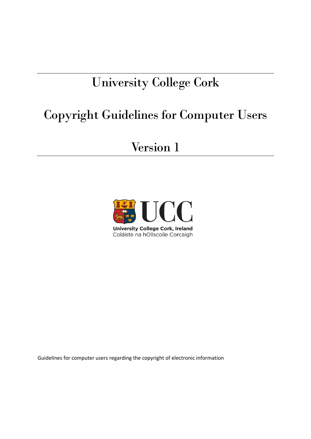# University College Cork

## Copyright Guidelines for Computer Users

## Version 1



Guidelines for computer users regarding the copyright of electronic information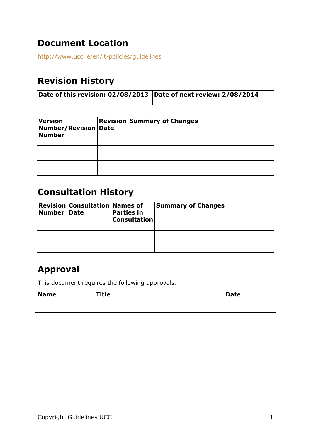### **Document Location**

<http://www.ucc.ie/en/it-policies/guidelines>

#### **Revision History**

| Date of this revision: $02/08/2013$ Date of next review: 2/08/2014 |  |
|--------------------------------------------------------------------|--|
|                                                                    |  |

| <b>Version</b><br><b>Number/Revision Date</b><br><b>Number</b> | <b>Revision Summary of Changes</b> |
|----------------------------------------------------------------|------------------------------------|
|                                                                |                                    |
|                                                                |                                    |
|                                                                |                                    |
|                                                                |                                    |
|                                                                |                                    |

#### **Consultation History**

| Number   Date | <b>Revision Consultation Names of</b> | <b>Parties in</b><br><b>Consultation</b> | <b>Summary of Changes</b> |
|---------------|---------------------------------------|------------------------------------------|---------------------------|
|               |                                       |                                          |                           |
|               |                                       |                                          |                           |
|               |                                       |                                          |                           |
|               |                                       |                                          |                           |

#### **Approval**

This document requires the following approvals:

| <b>Name</b> | <b>Title</b> | <b>Date</b> |
|-------------|--------------|-------------|
|             |              |             |
|             |              |             |
|             |              |             |
|             |              |             |
|             |              |             |